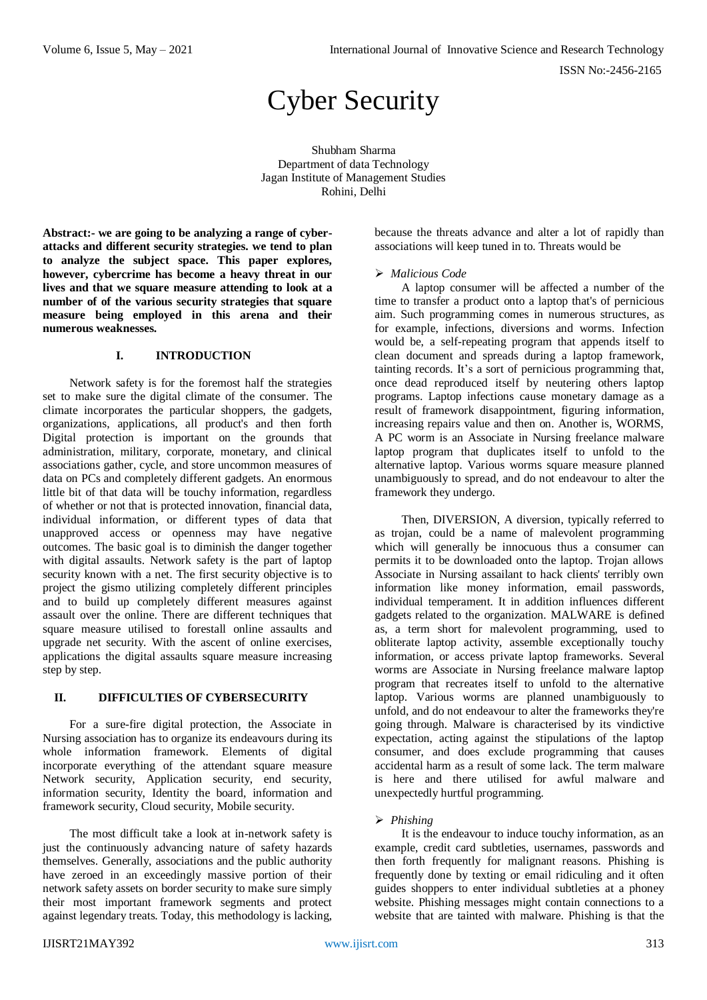ISSN No:-2456-2165

# Cyber Security

Shubham Sharma Department of data Technology Jagan Institute of Management Studies Rohini, Delhi

**Abstract:- we are going to be analyzing a range of cyberattacks and different security strategies. we tend to plan to analyze the subject space. This paper explores, however, cybercrime has become a heavy threat in our lives and that we square measure attending to look at a number of of the various security strategies that square measure being employed in this arena and their numerous weaknesses.**

#### **I. INTRODUCTION**

Network safety is for the foremost half the strategies set to make sure the digital climate of the consumer. The climate incorporates the particular shoppers, the gadgets, organizations, applications, all product's and then forth Digital protection is important on the grounds that administration, military, corporate, monetary, and clinical associations gather, cycle, and store uncommon measures of data on PCs and completely different gadgets. An enormous little bit of that data will be touchy information, regardless of whether or not that is protected innovation, financial data, individual information, or different types of data that unapproved access or openness may have negative outcomes. The basic goal is to diminish the danger together with digital assaults. Network safety is the part of laptop security known with a net. The first security objective is to project the gismo utilizing completely different principles and to build up completely different measures against assault over the online. There are different techniques that square measure utilised to forestall online assaults and upgrade net security. With the ascent of online exercises, applications the digital assaults square measure increasing step by step.

# **II. DIFFICULTIES OF CYBERSECURITY**

For a sure-fire digital protection, the Associate in Nursing association has to organize its endeavours during its whole information framework. Elements of digital incorporate everything of the attendant square measure Network security, Application security, end security, information security, Identity the board, information and framework security, Cloud security, Mobile security.

The most difficult take a look at in-network safety is just the continuously advancing nature of safety hazards themselves. Generally, associations and the public authority have zeroed in an exceedingly massive portion of their network safety assets on border security to make sure simply their most important framework segments and protect against legendary treats. Today, this methodology is lacking,

because the threats advance and alter a lot of rapidly than associations will keep tuned in to. Threats would be

#### *Malicious Code*

A laptop consumer will be affected a number of the time to transfer a product onto a laptop that's of pernicious aim. Such programming comes in numerous structures, as for example, infections, diversions and worms. Infection would be, a self-repeating program that appends itself to clean document and spreads during a laptop framework, tainting records. It's a sort of pernicious programming that, once dead reproduced itself by neutering others laptop programs. Laptop infections cause monetary damage as a result of framework disappointment, figuring information, increasing repairs value and then on. Another is, WORMS, A PC worm is an Associate in Nursing freelance malware laptop program that duplicates itself to unfold to the alternative laptop. Various worms square measure planned unambiguously to spread, and do not endeavour to alter the framework they undergo.

Then, DIVERSION, A diversion, typically referred to as trojan, could be a name of malevolent programming which will generally be innocuous thus a consumer can permits it to be downloaded onto the laptop. Trojan allows Associate in Nursing assailant to hack clients' terribly own information like money information, email passwords, individual temperament. It in addition influences different gadgets related to the organization. MALWARE is defined as, a term short for malevolent programming, used to obliterate laptop activity, assemble exceptionally touchy information, or access private laptop frameworks. Several worms are Associate in Nursing freelance malware laptop program that recreates itself to unfold to the alternative laptop. Various worms are planned unambiguously to unfold, and do not endeavour to alter the frameworks they're going through. Malware is characterised by its vindictive expectation, acting against the stipulations of the laptop consumer, and does exclude programming that causes accidental harm as a result of some lack. The term malware is here and there utilised for awful malware and unexpectedly hurtful programming.

# *Phishing*

It is the endeavour to induce touchy information, as an example, credit card subtleties, usernames, passwords and then forth frequently for malignant reasons. Phishing is frequently done by texting or email ridiculing and it often guides shoppers to enter individual subtleties at a phoney website. Phishing messages might contain connections to a website that are tainted with malware. Phishing is that the